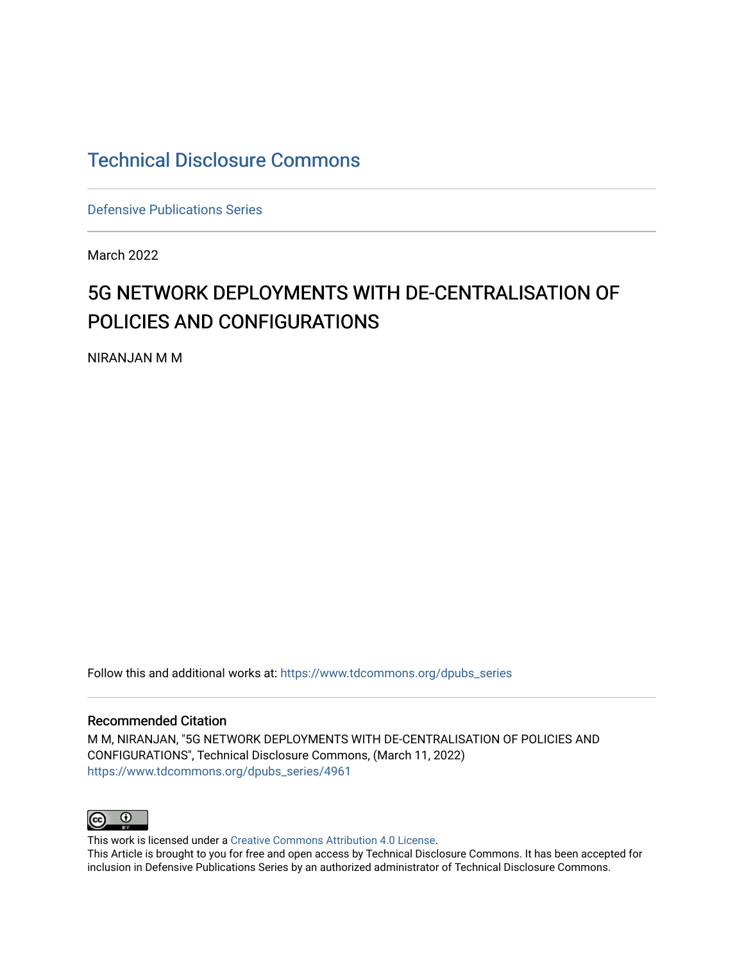# [Technical Disclosure Commons](https://www.tdcommons.org/)

[Defensive Publications Series](https://www.tdcommons.org/dpubs_series)

March 2022

# 5G NETWORK DEPLOYMENTS WITH DE-CENTRALISATION OF POLICIES AND CONFIGURATIONS

NIRANJAN M M

Follow this and additional works at: [https://www.tdcommons.org/dpubs\\_series](https://www.tdcommons.org/dpubs_series?utm_source=www.tdcommons.org%2Fdpubs_series%2F4961&utm_medium=PDF&utm_campaign=PDFCoverPages) 

#### Recommended Citation

M M, NIRANJAN, "5G NETWORK DEPLOYMENTS WITH DE-CENTRALISATION OF POLICIES AND CONFIGURATIONS", Technical Disclosure Commons, (March 11, 2022) [https://www.tdcommons.org/dpubs\\_series/4961](https://www.tdcommons.org/dpubs_series/4961?utm_source=www.tdcommons.org%2Fdpubs_series%2F4961&utm_medium=PDF&utm_campaign=PDFCoverPages)



This work is licensed under a [Creative Commons Attribution 4.0 License](http://creativecommons.org/licenses/by/4.0/deed.en_US). This Article is brought to you for free and open access by Technical Disclosure Commons. It has been accepted for inclusion in Defensive Publications Series by an authorized administrator of Technical Disclosure Commons.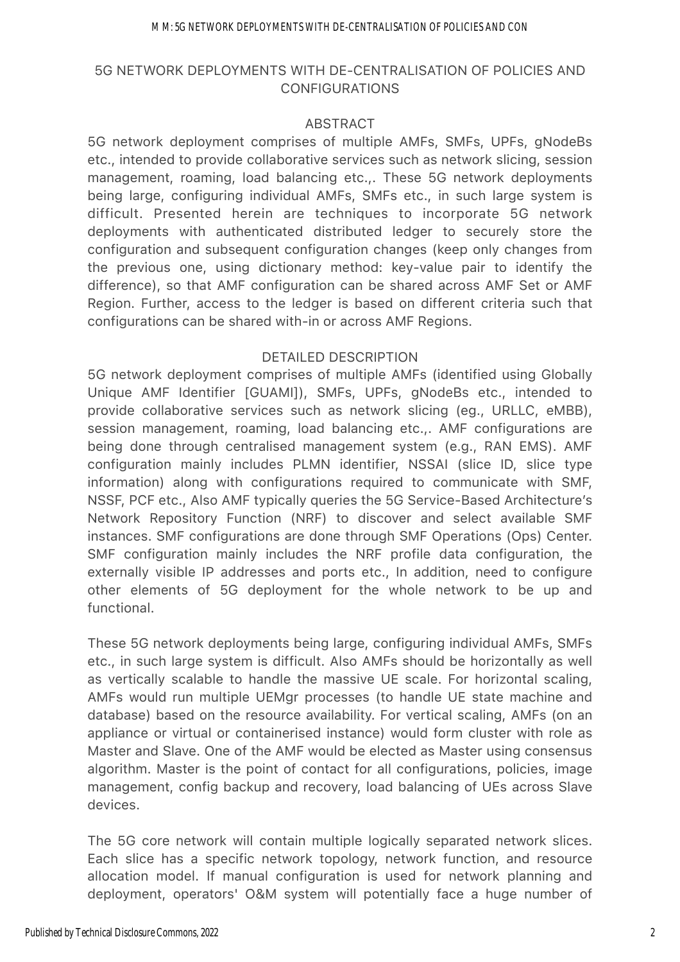#### M M: 5G NETWORK DEPLOYMENTS WITH DE-CENTRALISATION OF POLICIES AND CON

# 5G NETWORK DEPLOYMENTS WITH DE-CENTRALISATION OF POLICIES AND CONFIGURATIONS

## ABSTRACT

5G network deployment comprises of multiple AMFs, SMFs, UPFs, gNodeBs etc., intended to provide collaborative services such as network slicing, session management, roaming, load balancing etc.,. These 5G network deployments being large, configuring individual AMFs, SMFs etc., in such large system is difficult. Presented herein are techniques to incorporate 5G network deployments with authenticated distributed ledger to securely store the configuration and subsequent configuration changes (keep only changes from the previous one, using dictionary method: key-value pair to identify the difference), so that AMF configuration can be shared across AMF Set or AMF Region. Further, access to the ledger is based on different criteria such that configurations can be shared with-in or across AMF Regions.

## DETAILED DESCRIPTION

5G network deployment comprises of multiple AMFs (identified using Globally Unique AMF Identifier [GUAMI]), SMFs, UPFs, gNodeBs etc., intended to provide collaborative services such as network slicing (eg., URLLC, eMBB), session management, roaming, load balancing etc.,. AMF configurations are being done through centralised management system (e.g., RAN EMS). AMF configuration mainly includes PLMN identifier, NSSAI (slice ID, slice type information) along with configurations required to communicate with SMF, NSSF, PCF etc., Also AMF typically queries the 5G Service-Based Architecture's Network Repository Function (NRF) to discover and select available SMF instances. SMF configurations are done through SMF Operations (Ops) Center. SMF configuration mainly includes the NRF profile data configuration, the externally visible IP addresses and ports etc., In addition, need to configure other elements of 5G deployment for the whole network to be up and functional.

These 5G network deployments being large, configuring individual AMFs, SMFs etc., in such large system is difficult. Also AMFs should be horizontally as well as vertically scalable to handle the massive UE scale. For horizontal scaling, AMFs would run multiple UEMgr processes (to handle UE state machine and database) based on the resource availability. For vertical scaling, AMFs (on an appliance or virtual or containerised instance) would form cluster with role as Master and Slave. One of the AMF would be elected as Master using consensus algorithm. Master is the point of contact for all configurations, policies, image management, config backup and recovery, load balancing of UEs across Slave devices.

The 5G core network will contain multiple logically separated network slices. Each slice has a specific network topology, network function, and resource allocation model. If manual configuration is used for network planning and deployment, operators' O&M system will potentially face a huge number of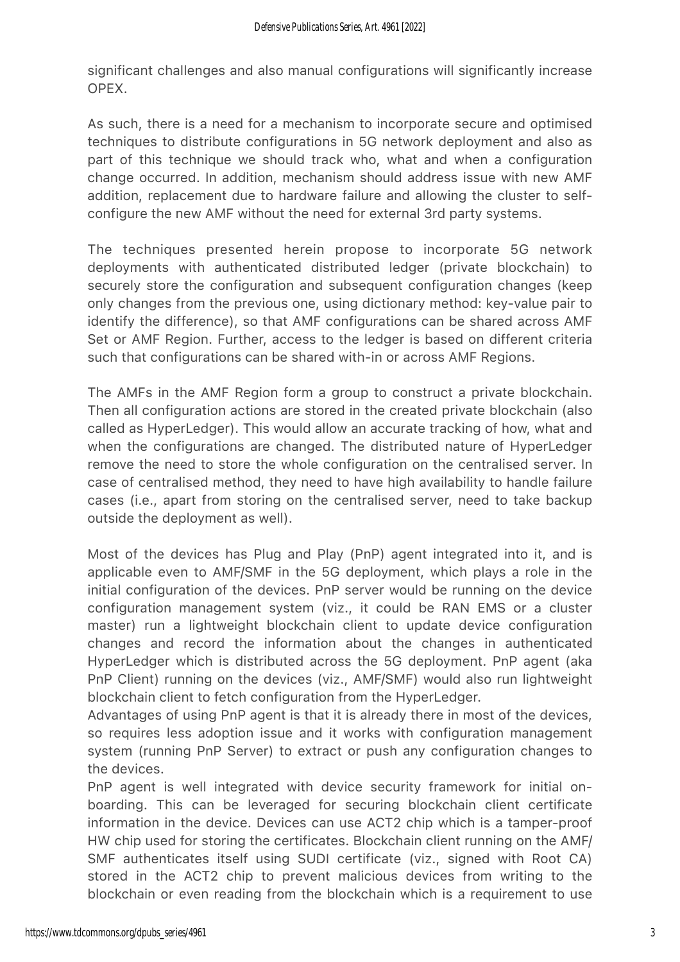significant challenges and also manual configurations will significantly increase OPEX.

As such, there is a need for a mechanism to incorporate secure and optimised techniques to distribute configurations in 5G network deployment and also as part of this technique we should track who, what and when a configuration change occurred. In addition, mechanism should address issue with new AMF addition, replacement due to hardware failure and allowing the cluster to selfconfigure the new AMF without the need for external 3rd party systems.

The techniques presented herein propose to incorporate 5G network deployments with authenticated distributed ledger (private blockchain) to securely store the configuration and subsequent configuration changes (keep only changes from the previous one, using dictionary method: key-value pair to identify the difference), so that AMF configurations can be shared across AMF Set or AMF Region. Further, access to the ledger is based on different criteria such that configurations can be shared with-in or across AMF Regions.

The AMFs in the AMF Region form a group to construct a private blockchain. Then all configuration actions are stored in the created private blockchain (also called as HyperLedger). This would allow an accurate tracking of how, what and when the configurations are changed. The distributed nature of HyperLedger remove the need to store the whole configuration on the centralised server. In case of centralised method, they need to have high availability to handle failure cases (i.e., apart from storing on the centralised server, need to take backup outside the deployment as well).

Most of the devices has Plug and Play (PnP) agent integrated into it, and is applicable even to AMF/SMF in the 5G deployment, which plays a role in the initial configuration of the devices. PnP server would be running on the device configuration management system (viz., it could be RAN EMS or a cluster master) run a lightweight blockchain client to update device configuration changes and record the information about the changes in authenticated HyperLedger which is distributed across the 5G deployment. PnP agent (aka PnP Client) running on the devices (viz., AMF/SMF) would also run lightweight blockchain client to fetch configuration from the HyperLedger.

Advantages of using PnP agent is that it is already there in most of the devices, so requires less adoption issue and it works with configuration management system (running PnP Server) to extract or push any configuration changes to the devices.

PnP agent is well integrated with device security framework for initial onboarding. This can be leveraged for securing blockchain client certificate information in the device. Devices can use ACT2 chip which is a tamper-proof HW chip used for storing the certificates. Blockchain client running on the AMF/ SMF authenticates itself using SUDI certificate (viz., signed with Root CA) stored in the ACT2 chip to prevent malicious devices from writing to the blockchain or even reading from the blockchain which is a requirement to use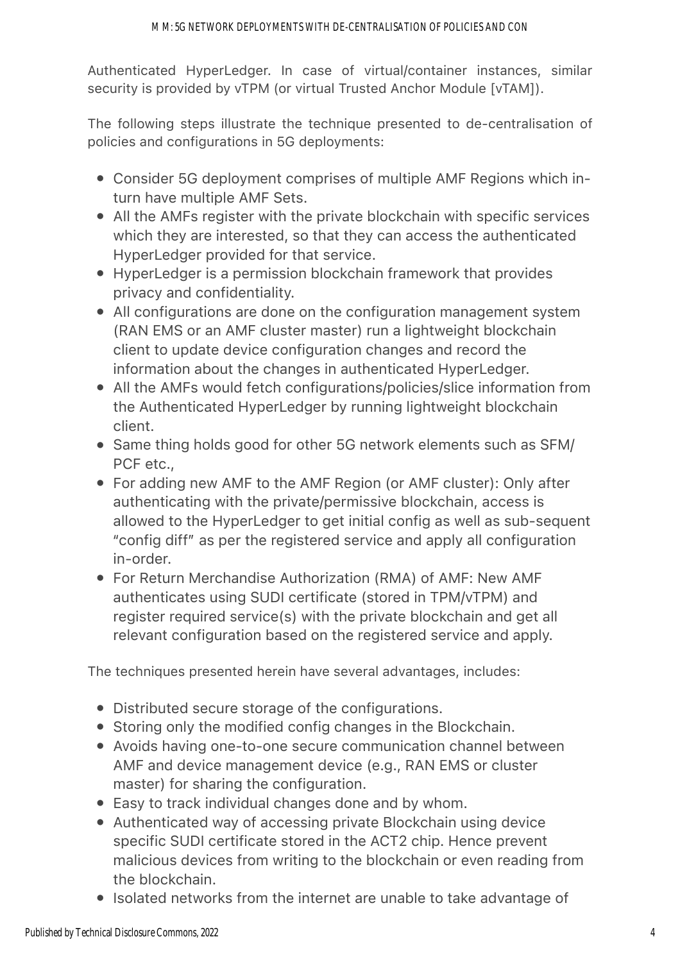Authenticated HyperLedger. In case of virtual/container instances, similar security is provided by vTPM (or virtual Trusted Anchor Module [vTAM]).

The following steps illustrate the technique presented to de-centralisation of policies and configurations in 5G deployments:

- Consider 5G deployment comprises of multiple AMF Regions which inturn have multiple AMF Sets.
- All the AMFs register with the private blockchain with specific services which they are interested, so that they can access the authenticated HyperLedger provided for that service.
- HyperLedger is a permission blockchain framework that provides privacy and confidentiality.
- All configurations are done on the configuration management system (RAN EMS or an AMF cluster master) run a lightweight blockchain client to update device configuration changes and record the information about the changes in authenticated HyperLedger.
- All the AMFs would fetch configurations/policies/slice information from the Authenticated HyperLedger by running lightweight blockchain client.
- Same thing holds good for other 5G network elements such as SFM/ PCF etc.,
- For adding new AMF to the AMF Region (or AMF cluster): Only after authenticating with the private/permissive blockchain, access is allowed to the HyperLedger to get initial config as well as sub-sequent "config diff" as per the registered service and apply all configuration in-order.
- For Return Merchandise Authorization (RMA) of AMF: New AMF authenticates using SUDI certificate (stored in TPM/vTPM) and register required service(s) with the private blockchain and get all relevant configuration based on the registered service and apply.

The techniques presented herein have several advantages, includes:

- Distributed secure storage of the configurations.
- Storing only the modified config changes in the Blockchain.
- Avoids having one-to-one secure communication channel between AMF and device management device (e.g., RAN EMS or cluster master) for sharing the configuration.
- Easy to track individual changes done and by whom.
- Authenticated way of accessing private Blockchain using device specific SUDI certificate stored in the ACT2 chip. Hence prevent malicious devices from writing to the blockchain or even reading from the blockchain.
- Isolated networks from the internet are unable to take advantage of